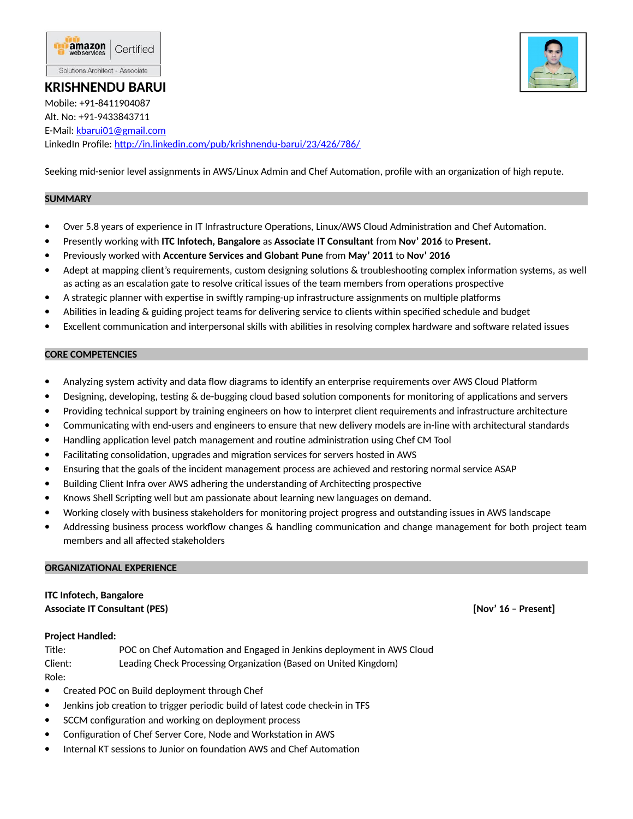

## **KRISHNENDU BARUI**

Mobile: +91-8411904087 Alt. No: +91-9433843711 E-Mail: [kbarui01@gmail.com](mailto:kbarui01@gmail.com) LinkedIn Profile:<http://in.linkedin.com/pub/krishnendu-barui/23/426/786/>

Seeking mid-senior level assignments in AWS/Linux Admin and Chef Automation, profile with an organization of high repute.

### **SUMMARY**

- Over 5.8 years of experience in IT Infrastructure Operations, Linux/AWS Cloud Administration and Chef Automation.
- Presently working with **ITC Infotech, Bangalore** as **Associate IT Consultant** from **Nov' 2016** to **Present.**
- Previously worked with **Accenture Services and Globant Pune** from **May' 2011** to **Nov' 2016**
- Adept at mapping client's requirements, custom designing solutions & troubleshooting complex information systems, as well as acting as an escalation gate to resolve critical issues of the team members from operations prospective
- A strategic planner with expertise in swiftly ramping-up infrastructure assignments on multiple platforms
- Abilities in leading & guiding project teams for delivering service to clients within specified schedule and budget
- Excellent communication and interpersonal skills with abilities in resolving complex hardware and software related issues

### **CORE COMPETENCIES**

- Analyzing system activity and data flow diagrams to identify an enterprise requirements over AWS Cloud Platform
- Designing, developing, testing & de-bugging cloud based solution components for monitoring of applications and servers
- Providing technical support by training engineers on how to interpret client requirements and infrastructure architecture
- Communicating with end-users and engineers to ensure that new delivery models are in-line with architectural standards
- Handling application level patch management and routine administration using Chef CM Tool
- Facilitating consolidation, upgrades and migration services for servers hosted in AWS
- Ensuring that the goals of the incident management process are achieved and restoring normal service ASAP
- Building Client Infra over AWS adhering the understanding of Architecting prospective
- Knows Shell Scripting well but am passionate about learning new languages on demand.
- Working closely with business stakeholders for monitoring project progress and outstanding issues in AWS landscape
- Addressing business process workflow changes & handling communication and change management for both project team members and all affected stakeholders

### **ORGANIZATIONAL EXPERIENCE**

# **ITC Infotech, Bangalore**

**Associate IT Consultant (PES) [Nov' 16 – Present]**

### **Project Handled:**

Title: POC on Chef Automation and Engaged in Jenkins deployment in AWS Cloud Client: Leading Check Processing Organization (Based on United Kingdom) Role:

- Created POC on Build deployment through Chef
- Jenkins job creation to trigger periodic build of latest code check-in in TFS
- SCCM configuration and working on deployment process
- Configuration of Chef Server Core, Node and Workstation in AWS
- Internal KT sessions to Junior on foundation AWS and Chef Automation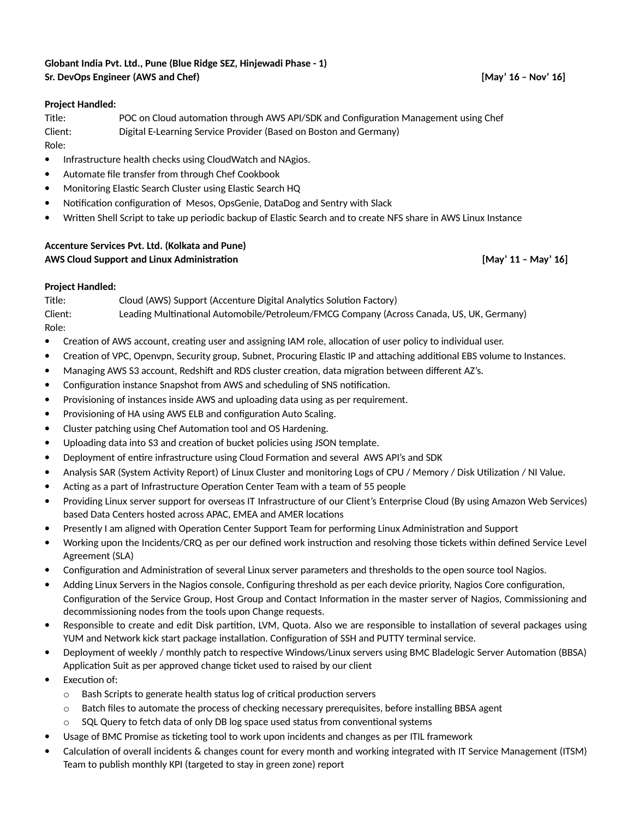### **Globant India Pvt. Ltd., Pune (Blue Ridge SEZ, Hinjewadi Phase - 1) Sr. DevOps Engineer (AWS and Chef) [May' 16 – Nov' 16]**

### **Project Handled:**

Title: POC on Cloud automation through AWS API/SDK and Configuration Management using Chef Client: Digital E-Learning Service Provider (Based on Boston and Germany)

Role:

- Infrastructure health checks using CloudWatch and NAgios.
- Automate file transfer from through Chef Cookbook
- Monitoring Elastic Search Cluster using Elastic Search HQ
- Notification configuration of Mesos, OpsGenie, DataDog and Sentry with Slack
- Written Shell Script to take up periodic backup of Elastic Search and to create NFS share in AWS Linux Instance

### **Accenture Services Pvt. Ltd. (Kolkata and Pune) AWS Cloud Support and Linux Administration [May' 11 – May' 16]**

### **Project Handled:**

Title: Cloud (AWS) Support (Accenture Digital Analytics Solution Factory) Client: Leading Multinational Automobile/Petroleum/FMCG Company (Across Canada, US, UK, Germany) Role:

- Creation of AWS account, creating user and assigning IAM role, allocation of user policy to individual user.
- Creation of VPC, Openvpn, Security group, Subnet, Procuring Elastic IP and attaching additional EBS volume to Instances.
- Managing AWS S3 account, Redshift and RDS cluster creation, data migration between different AZ's.
- Configuration instance Snapshot from AWS and scheduling of SNS notification.
- Provisioning of instances inside AWS and uploading data using as per requirement.
- Provisioning of HA using AWS ELB and configuration Auto Scaling.
- Cluster patching using Chef Automation tool and OS Hardening.
- Uploading data into S3 and creation of bucket policies using JSON template.
- Deployment of entire infrastructure using Cloud Formation and several AWS API's and SDK
- Analysis SAR (System Activity Report) of Linux Cluster and monitoring Logs of CPU / Memory / Disk Utilization / NI Value.
- Acting as a part of Infrastructure Operation Center Team with a team of 55 people
- Providing Linux server support for overseas IT Infrastructure of our Client's Enterprise Cloud (By using Amazon Web Services) based Data Centers hosted across APAC, EMEA and AMER locations
- Presently I am aligned with Operation Center Support Team for performing Linux Administration and Support
- Working upon the Incidents/CRQ as per our defined work instruction and resolving those tickets within defined Service Level Agreement (SLA)
- Configuration and Administration of several Linux server parameters and thresholds to the open source tool Nagios.
- Adding Linux Servers in the Nagios console, Configuring threshold as per each device priority, Nagios Core configuration, Configuration of the Service Group, Host Group and Contact Information in the master server of Nagios, Commissioning and decommissioning nodes from the tools upon Change requests.
- Responsible to create and edit Disk partition, LVM, Quota. Also we are responsible to installation of several packages using YUM and Network kick start package installation. Configuration of SSH and PUTTY terminal service.
- Deployment of weekly / monthly patch to respective Windows/Linux servers using BMC Bladelogic Server Automation (BBSA) Application Suit as per approved change ticket used to raised by our client
- Execution of:
	- o Bash Scripts to generate health status log of critical production servers
	- $\circ$  Batch files to automate the process of checking necessary prerequisites, before installing BBSA agent
	- SQL Query to fetch data of only DB log space used status from conventional systems
- Usage of BMC Promise as ticketing tool to work upon incidents and changes as per ITIL framework
- Calculation of overall incidents & changes count for every month and working integrated with IT Service Management (ITSM) Team to publish monthly KPI (targeted to stay in green zone) report